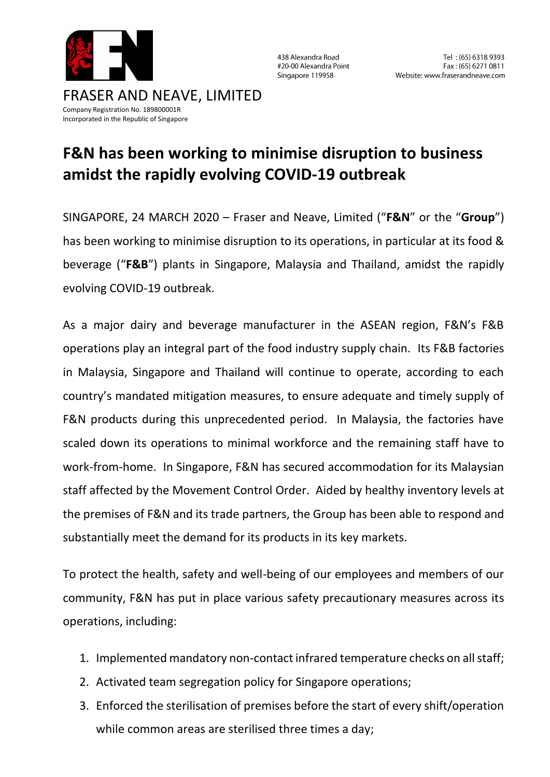

438 Alexandra Road #20-00 Alexandra Point Singapore 119958

## Company Registration No. 189800001R Incorporated in the Republic of Singapore

## **F&N has been working to minimise disruption to business amidst the rapidly evolving COVID-19 outbreak**

SINGAPORE, 24 MARCH 2020 – Fraser and Neave, Limited ("**F&N**" or the "**Group**") has been working to minimise disruption to its operations, in particular at its food & beverage ("**F&B**") plants in Singapore, Malaysia and Thailand, amidst the rapidly evolving COVID-19 outbreak.

As a major dairy and beverage manufacturer in the ASEAN region, F&N's F&B operations play an integral part of the food industry supply chain. Its F&B factories in Malaysia, Singapore and Thailand will continue to operate, according to each country's mandated mitigation measures, to ensure adequate and timely supply of F&N products during this unprecedented period. In Malaysia, the factories have scaled down its operations to minimal workforce and the remaining staff have to work-from-home. In Singapore, F&N has secured accommodation for its Malaysian staff affected by the Movement Control Order. Aided by healthy inventory levels at the premises of F&N and its trade partners, the Group has been able to respond and substantially meet the demand for its products in its key markets.

To protect the health, safety and well-being of our employees and members of our community, F&N has put in place various safety precautionary measures across its operations, including:

- 1. Implemented mandatory non-contact infrared temperature checks on all staff;
- 2. Activated team segregation policy for Singapore operations;
- 3. Enforced the sterilisation of premises before the start of every shift/operation while common areas are sterilised three times a day;